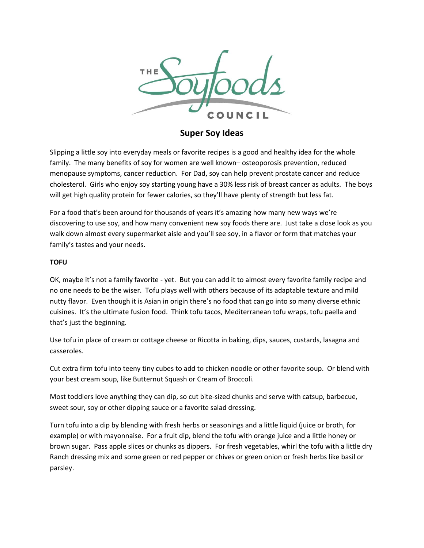

**Super Soy Ideas**

Slipping a little soy into everyday meals or favorite recipes is a good and healthy idea for the whole family. The many benefits of soy for women are well known– osteoporosis prevention, reduced menopause symptoms, cancer reduction. For Dad, soy can help prevent prostate cancer and reduce cholesterol. Girls who enjoy soy starting young have a 30% less risk of breast cancer as adults. The boys will get high quality protein for fewer calories, so they'll have plenty of strength but less fat.

For a food that's been around for thousands of years it's amazing how many new ways we're discovering to use soy, and how many convenient new soy foods there are. Just take a close look as you walk down almost every supermarket aisle and you'll see soy, in a flavor or form that matches your family's tastes and your needs.

# **TOFU**

OK, maybe it's not a family favorite - yet. But you can add it to almost every favorite family recipe and no one needs to be the wiser. Tofu plays well with others because of its adaptable texture and mild nutty flavor. Even though it is Asian in origin there's no food that can go into so many diverse ethnic cuisines. It's the ultimate fusion food. Think tofu tacos, Mediterranean tofu wraps, tofu paella and that's just the beginning.

Use tofu in place of cream or cottage cheese or Ricotta in baking, dips, sauces, custards, lasagna and casseroles.

Cut extra firm tofu into teeny tiny cubes to add to chicken noodle or other favorite soup. Or blend with your best cream soup, like Butternut Squash or Cream of Broccoli.

Most toddlers love anything they can dip, so cut bite-sized chunks and serve with catsup, barbecue, sweet sour, soy or other dipping sauce or a favorite salad dressing.

Turn tofu into a dip by blending with fresh herbs or seasonings and a little liquid (juice or broth, for example) or with mayonnaise. For a fruit dip, blend the tofu with orange juice and a little honey or brown sugar. Pass apple slices or chunks as dippers. For fresh vegetables, whirl the tofu with a little dry Ranch dressing mix and some green or red pepper or chives or green onion or fresh herbs like basil or parsley.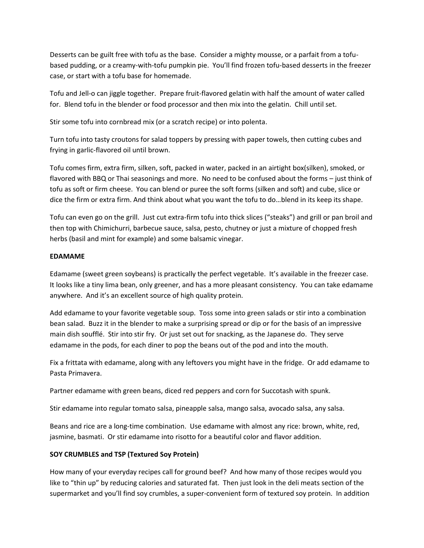Desserts can be guilt free with tofu as the base. Consider a mighty mousse, or a parfait from a tofubased pudding, or a creamy-with-tofu pumpkin pie. You'll find frozen tofu-based desserts in the freezer case, or start with a tofu base for homemade.

Tofu and Jell-o can jiggle together. Prepare fruit-flavored gelatin with half the amount of water called for. Blend tofu in the blender or food processor and then mix into the gelatin. Chill until set.

Stir some tofu into cornbread mix (or a scratch recipe) or into polenta.

Turn tofu into tasty croutons for salad toppers by pressing with paper towels, then cutting cubes and frying in garlic-flavored oil until brown.

Tofu comes firm, extra firm, silken, soft, packed in water, packed in an airtight box(silken), smoked, or flavored with BBQ or Thai seasonings and more. No need to be confused about the forms – just think of tofu as soft or firm cheese. You can blend or puree the soft forms (silken and soft) and cube, slice or dice the firm or extra firm. And think about what you want the tofu to do…blend in its keep its shape.

Tofu can even go on the grill. Just cut extra-firm tofu into thick slices ("steaks") and grill or pan broil and then top with Chimichurri, barbecue sauce, salsa, pesto, chutney or just a mixture of chopped fresh herbs (basil and mint for example) and some balsamic vinegar.

## **EDAMAME**

Edamame (sweet green soybeans) is practically the perfect vegetable. It's available in the freezer case. It looks like a tiny lima bean, only greener, and has a more pleasant consistency. You can take edamame anywhere. And it's an excellent source of high quality protein.

Add edamame to your favorite vegetable soup. Toss some into green salads or stir into a combination bean salad. Buzz it in the blender to make a surprising spread or dip or for the basis of an impressive main dish soufflé. Stir into stir fry. Or just set out for snacking, as the Japanese do. They serve edamame in the pods, for each diner to pop the beans out of the pod and into the mouth.

Fix a frittata with edamame, along with any leftovers you might have in the fridge. Or add edamame to Pasta Primavera.

Partner edamame with green beans, diced red peppers and corn for Succotash with spunk.

Stir edamame into regular tomato salsa, pineapple salsa, mango salsa, avocado salsa, any salsa.

Beans and rice are a long-time combination. Use edamame with almost any rice: brown, white, red, jasmine, basmati. Or stir edamame into risotto for a beautiful color and flavor addition.

# **SOY CRUMBLES and TSP (Textured Soy Protein)**

How many of your everyday recipes call for ground beef? And how many of those recipes would you like to "thin up" by reducing calories and saturated fat. Then just look in the deli meats section of the supermarket and you'll find soy crumbles, a super-convenient form of textured soy protein. In addition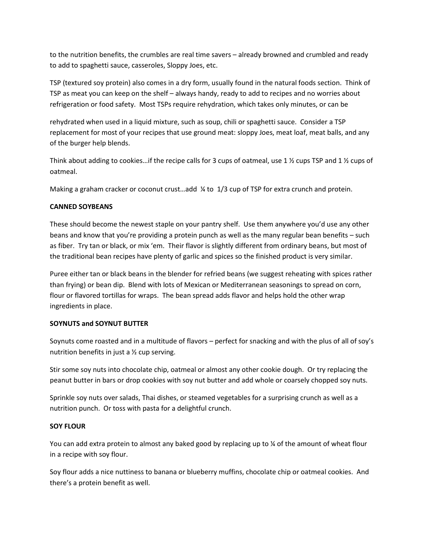to the nutrition benefits, the crumbles are real time savers – already browned and crumbled and ready to add to spaghetti sauce, casseroles, Sloppy Joes, etc.

TSP (textured soy protein) also comes in a dry form, usually found in the natural foods section. Think of TSP as meat you can keep on the shelf – always handy, ready to add to recipes and no worries about refrigeration or food safety. Most TSPs require rehydration, which takes only minutes, or can be

rehydrated when used in a liquid mixture, such as soup, chili or spaghetti sauce. Consider a TSP replacement for most of your recipes that use ground meat: sloppy Joes, meat loaf, meat balls, and any of the burger help blends.

Think about adding to cookies...if the recipe calls for 3 cups of oatmeal, use 1  $\frac{1}{2}$  cups TSP and 1  $\frac{1}{2}$  cups of oatmeal.

Making a graham cracker or coconut crust...add ¼ to 1/3 cup of TSP for extra crunch and protein.

## **CANNED SOYBEANS**

These should become the newest staple on your pantry shelf. Use them anywhere you'd use any other beans and know that you're providing a protein punch as well as the many regular bean benefits – such as fiber. Try tan or black, or mix 'em. Their flavor is slightly different from ordinary beans, but most of the traditional bean recipes have plenty of garlic and spices so the finished product is very similar.

Puree either tan or black beans in the blender for refried beans (we suggest reheating with spices rather than frying) or bean dip. Blend with lots of Mexican or Mediterranean seasonings to spread on corn, flour or flavored tortillas for wraps. The bean spread adds flavor and helps hold the other wrap ingredients in place.

## **SOYNUTS and SOYNUT BUTTER**

Soynuts come roasted and in a multitude of flavors – perfect for snacking and with the plus of all of soy's nutrition benefits in just a ½ cup serving.

Stir some soy nuts into chocolate chip, oatmeal or almost any other cookie dough. Or try replacing the peanut butter in bars or drop cookies with soy nut butter and add whole or coarsely chopped soy nuts.

Sprinkle soy nuts over salads, Thai dishes, or steamed vegetables for a surprising crunch as well as a nutrition punch. Or toss with pasta for a delightful crunch.

# **SOY FLOUR**

You can add extra protein to almost any baked good by replacing up to % of the amount of wheat flour in a recipe with soy flour.

Soy flour adds a nice nuttiness to banana or blueberry muffins, chocolate chip or oatmeal cookies. And there's a protein benefit as well.